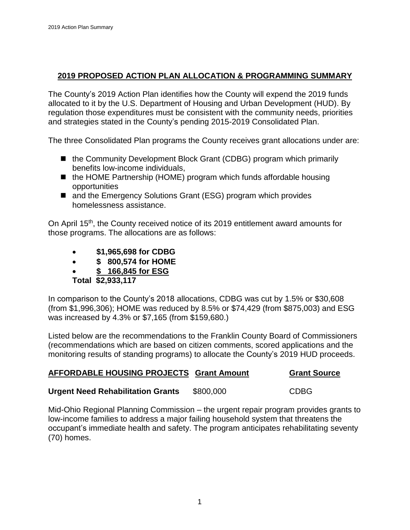### **2019 PROPOSED ACTION PLAN ALLOCATION & PROGRAMMING SUMMARY**

The County's 2019 Action Plan identifies how the County will expend the 2019 funds allocated to it by the U.S. Department of Housing and Urban Development (HUD). By regulation those expenditures must be consistent with the community needs, priorities and strategies stated in the County's pending 2015-2019 Consolidated Plan.

The three Consolidated Plan programs the County receives grant allocations under are:

- the Community Development Block Grant (CDBG) program which primarily benefits low-income individuals,
- the HOME Partnership (HOME) program which funds affordable housing opportunities
- and the Emergency Solutions Grant (ESG) program which provides homelessness assistance.

On April 15th, the County received notice of its 2019 entitlement award amounts for those programs. The allocations are as follows:

- **\$1,965,698 for CDBG**
- **\$ 800,574 for HOME**
- **\$ 166,845 for ESG**
- **Total \$2,933,117**

In comparison to the County's 2018 allocations, CDBG was cut by 1.5% or \$30,608 (from \$1,996,306); HOME was reduced by 8.5% or \$74,429 (from \$875,003) and ESG was increased by 4.3% or \$7,165 (from \$159,680.)

Listed below are the recommendations to the Franklin County Board of Commissioners (recommendations which are based on citizen comments, scored applications and the monitoring results of standing programs) to allocate the County's 2019 HUD proceeds.

### **AFFORDABLE HOUSING PROJECTS Grant Amount Grant Source**

### **Urgent Need Rehabilitation Grants** \$800,000 CDBG

Mid-Ohio Regional Planning Commission – the urgent repair program provides grants to low-income families to address a major failing household system that threatens the occupant's immediate health and safety. The program anticipates rehabilitating seventy (70) homes.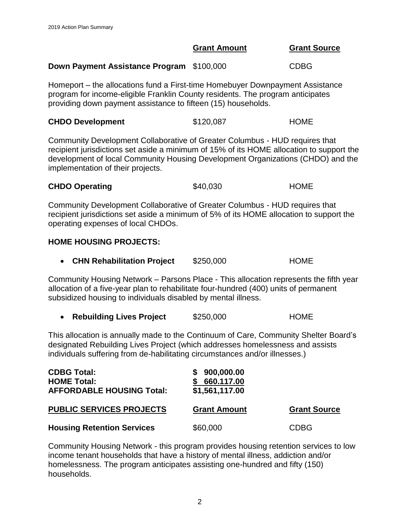### **Down Payment Assistance Program** \$100,000 CDBG

Homeport – the allocations fund a First-time Homebuyer Downpayment Assistance program for income-eligible Franklin County residents. The program anticipates providing down payment assistance to fifteen (15) households.

| <b>CHDO Development</b> | \$120,087 | <b>HOME</b> |
|-------------------------|-----------|-------------|
|                         |           |             |

Community Development Collaborative of Greater Columbus - HUD requires that recipient jurisdictions set aside a minimum of 15% of its HOME allocation to support the development of local Community Housing Development Organizations (CHDO) and the implementation of their projects.

| <b>CHDO Operating</b> | \$40,030 | <b>HOME</b> |
|-----------------------|----------|-------------|
|-----------------------|----------|-------------|

Community Development Collaborative of Greater Columbus - HUD requires that recipient jurisdictions set aside a minimum of 5% of its HOME allocation to support the operating expenses of local CHDOs.

#### **HOME HOUSING PROJECTS:**

**CHN Rehabilitation Project** \$250,000 HOME

Community Housing Network – Parsons Place - This allocation represents the fifth year allocation of a five-year plan to rehabilitate four-hundred (400) units of permanent subsidized housing to individuals disabled by mental illness.

**Rebuilding Lives Project** \$250,000 HOME

This allocation is annually made to the Continuum of Care, Community Shelter Board's designated Rebuilding Lives Project (which addresses homelessness and assists individuals suffering from de-habilitating circumstances and/or illnesses.)

| <b>CDBG Total:</b><br><b>HOME Total:</b><br><b>AFFORDABLE HOUSING Total:</b> | 900,000.00<br>660.117.00<br>\$1,561,117.00 |                     |
|------------------------------------------------------------------------------|--------------------------------------------|---------------------|
| <b>PUBLIC SERVICES PROJECTS</b>                                              | <b>Grant Amount</b>                        | <b>Grant Source</b> |
| <b>Housing Retention Services</b>                                            | \$60,000                                   | <b>CDBG</b>         |

Community Housing Network - this program provides housing retention services to low income tenant households that have a history of mental illness, addiction and/or homelessness. The program anticipates assisting one-hundred and fifty (150) households.

**Grant Amount Grant Source**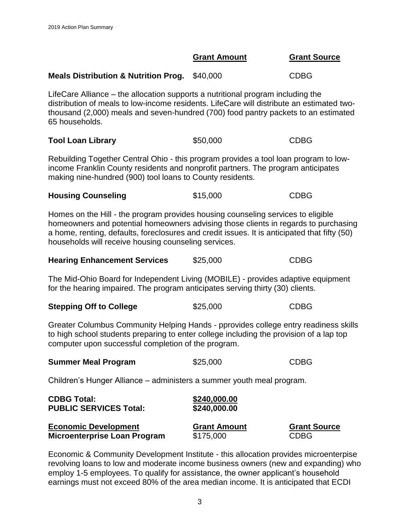3

#### **Grant Amount Grant Source**

**Meals Distribution & Nutrition Prog.** \$40,000 CDBG

LifeCare Alliance – the allocation supports a nutritional program including the distribution of meals to low-income residents. LifeCare will distribute an estimated twothousand (2,000) meals and seven-hundred (700) food pantry packets to an estimated 65 households.

| <b>Tool Loan Library</b> | <b>CDBG</b><br>\$50,000 |
|--------------------------|-------------------------|
|--------------------------|-------------------------|

Rebuilding Together Central Ohio - this program provides a tool loan program to lowincome Franklin County residents and nonprofit partners. The program anticipates making nine-hundred (900) tool loans to County residents.

| <b>Housing Counseling</b> | \$15,000 | <b>CDBG</b> |
|---------------------------|----------|-------------|
|---------------------------|----------|-------------|

Homes on the Hill - the program provides housing counseling services to eligible homeowners and potential homeowners advising those clients in regards to purchasing a home, renting, defaults, foreclosures and credit issues. It is anticipated that fifty (50) households will receive housing counseling services.

| <b>Hearing Enhancement Services</b> | \$25,000 | <b>CDBG</b> |
|-------------------------------------|----------|-------------|
|                                     |          |             |

The Mid-Ohio Board for Independent Living (MOBILE) - provides adaptive equipment for the hearing impaired. The program anticipates serving thirty (30) clients.

| <b>Stepping Off to College</b> | \$25,000 | <b>CDBG</b> |
|--------------------------------|----------|-------------|
|                                |          |             |

Greater Columbus Community Helping Hands - pprovides college entry readiness skills to high school students preparing to enter college including the provision of a lap top computer upon successful completion of the program.

| <b>Summer Meal Program</b>                                            | \$25,000                     | <b>CDBG</b>         |
|-----------------------------------------------------------------------|------------------------------|---------------------|
| Children's Hunger Alliance – administers a summer youth meal program. |                              |                     |
| <b>CDBG Total:</b><br><b>PUBLIC SERVICES Total:</b>                   | \$240,000.00<br>\$240,000.00 |                     |
| <b>Economic Development</b>                                           | <b>Grant Amount</b>          | <b>Grant Source</b> |

**Microenterprise Loan Program** \$175,000 CDBG

Economic & Community Development Institute - this allocation provides microenterpise revolving loans to low and moderate income business owners (new and expanding) who employ 1-5 employees. To qualify for assistance, the owner applicant's household earnings must not exceed 80% of the area median income. It is anticipated that ECDI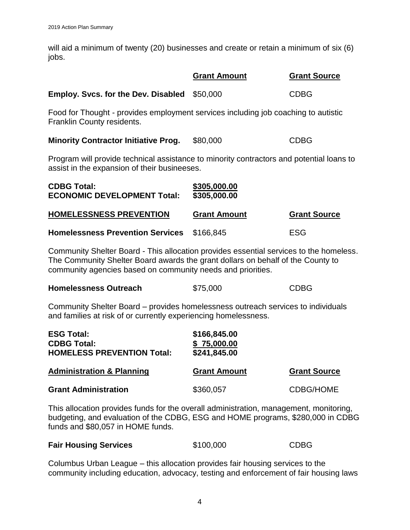will aid a minimum of twenty (20) businesses and create or retain a minimum of six (6) jobs.

|                                                                                                                                          | <b>Grant Amount</b>          | <b>Grant Source</b> |
|------------------------------------------------------------------------------------------------------------------------------------------|------------------------------|---------------------|
| <b>Employ. Svcs. for the Dev. Disabled</b>                                                                                               | \$50,000                     | <b>CDBG</b>         |
| Food for Thought - provides employment services including job coaching to autistic<br>Franklin County residents.                         |                              |                     |
| <b>Minority Contractor Initiative Prog.</b>                                                                                              | \$80,000                     | <b>CDBG</b>         |
| Program will provide technical assistance to minority contractors and potential loans to<br>assist in the expansion of their busineeses. |                              |                     |
| <b>CDBG Total:</b><br><b>ECONOMIC DEVELOPMENT Total:</b>                                                                                 | \$305,000.00<br>\$305,000.00 |                     |
| <b>HOMELESSNESS PREVENTION</b>                                                                                                           | <b>Grant Amount</b>          | <b>Grant Source</b> |
| <b>Homelessness Prevention Services</b>                                                                                                  | \$166,845                    | <b>ESG</b>          |

Community Shelter Board - This allocation provides essential services to the homeless. The Community Shelter Board awards the grant dollars on behalf of the County to community agencies based on community needs and priorities.

| \$75,000<br><b>Homelessness Outreach</b> | <b>CDBG</b> |
|------------------------------------------|-------------|
|------------------------------------------|-------------|

Community Shelter Board – provides homelessness outreach services to individuals and families at risk of or currently experiencing homelessness.

| <b>ESG Total:</b><br><b>CDBG Total:</b><br><b>HOMELESS PREVENTION Total:</b> | \$166,845.00<br>\$75,000.00<br>\$241,845.00 |                     |
|------------------------------------------------------------------------------|---------------------------------------------|---------------------|
| <b>Administration &amp; Planning</b>                                         | <b>Grant Amount</b>                         | <b>Grant Source</b> |
| <b>Grant Administration</b>                                                  | \$360,057                                   | <b>CDBG/HOME</b>    |

This allocation provides funds for the overall administration, management, monitoring, budgeting, and evaluation of the CDBG, ESG and HOME programs, \$280,000 in CDBG funds and \$80,057 in HOME funds.

| <b>Fair Housing Services</b> | \$100,000 | <b>CDBG</b> |
|------------------------------|-----------|-------------|
|------------------------------|-----------|-------------|

Columbus Urban League – this allocation provides fair housing services to the community including education, advocacy, testing and enforcement of fair housing laws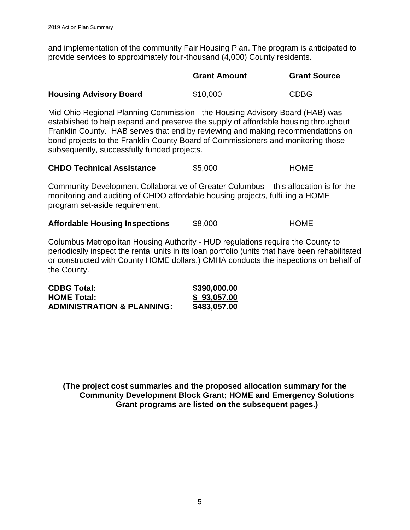and implementation of the community Fair Housing Plan. The program is anticipated to provide services to approximately four-thousand (4,000) County residents.

|                               | <b>Grant Amount</b> | <b>Grant Source</b> |
|-------------------------------|---------------------|---------------------|
| <b>Housing Advisory Board</b> | \$10,000            | <b>CDBG</b>         |

Mid-Ohio Regional Planning Commission - the Housing Advisory Board (HAB) was established to help expand and preserve the supply of affordable housing throughout Franklin County. HAB serves that end by reviewing and making recommendations on bond projects to the Franklin County Board of Commissioners and monitoring those subsequently, successfully funded projects.

| <b>CHDO Technical Assistance</b> | \$5,000 | <b>HOME</b> |
|----------------------------------|---------|-------------|
|----------------------------------|---------|-------------|

Community Development Collaborative of Greater Columbus – this allocation is for the monitoring and auditing of CHDO affordable housing projects, fulfilling a HOME program set-aside requirement.

| <b>Affordable Housing Inspections</b> | \$8,000 | <b>HOME</b> |
|---------------------------------------|---------|-------------|
|---------------------------------------|---------|-------------|

Columbus Metropolitan Housing Authority - HUD regulations require the County to periodically inspect the rental units in its loan portfolio (units that have been rehabilitated or constructed with County HOME dollars.) CMHA conducts the inspections on behalf of the County.

| <b>CDBG Total:</b>                    | \$390,000.00 |
|---------------------------------------|--------------|
| <b>HOME Total:</b>                    | \$93,057.00  |
| <b>ADMINISTRATION &amp; PLANNING:</b> | \$483,057.00 |

**(The project cost summaries and the proposed allocation summary for the Community Development Block Grant; HOME and Emergency Solutions Grant programs are listed on the subsequent pages.)**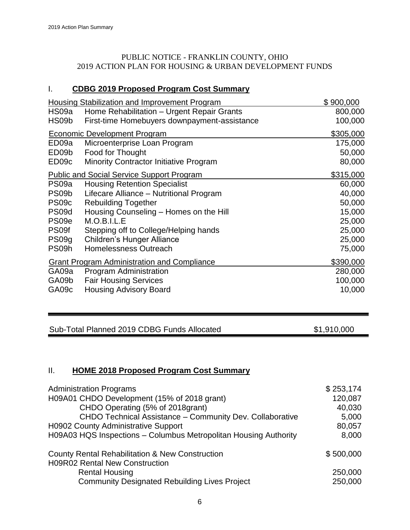### PUBLIC NOTICE - FRANKLIN COUNTY, OHIO 2019 ACTION PLAN FOR HOUSING & URBAN DEVELOPMENT FUNDS

## I. **CDBG 2019 Proposed Program Cost Summary**

|                   | <b>Housing Stabilization and Improvement Program</b> | \$900,000 |
|-------------------|------------------------------------------------------|-----------|
| HS09a             | Home Rehabilitation - Urgent Repair Grants           | 800,000   |
| HS09b             | First-time Homebuyers downpayment-assistance         | 100,000   |
|                   | <b>Economic Development Program</b>                  | \$305,000 |
| ED09a             | Microenterprise Loan Program                         | 175,000   |
| ED09b             | Food for Thought                                     | 50,000    |
| ED09c             | Minority Contractor Initiative Program               | 80,000    |
|                   | <b>Public and Social Service Support Program</b>     | \$315,000 |
| PS09a             | <b>Housing Retention Specialist</b>                  | 60,000    |
| PS09b             | Lifecare Alliance - Nutritional Program              | 40,000    |
| PS09c             | <b>Rebuilding Together</b>                           | 50,000    |
| PS09d             | Housing Counseling - Homes on the Hill               | 15,000    |
| PS <sub>09e</sub> | M.O.B.I.L.E                                          | 25,000    |
| PS09f             | Stepping off to College/Helping hands                | 25,000    |
| PS09g             | <b>Children's Hunger Alliance</b>                    | 25,000    |
| PS09h             | Homelessness Outreach                                | 75,000    |
|                   | <b>Grant Program Administration and Compliance</b>   | \$390,000 |
| GA09a             | Program Administration                               | 280,000   |
| GA09b             | <b>Fair Housing Services</b>                         | 100,000   |
| GA09c             | <b>Housing Advisory Board</b>                        | 10,000    |

## Sub-Total Planned 2019 CDBG Funds Allocated

\$1,910,000

### II. **HOME 2018 Proposed Program Cost Summary**

| <b>Administration Programs</b>                                   | \$253,174 |
|------------------------------------------------------------------|-----------|
| H09A01 CHDO Development (15% of 2018 grant)                      | 120,087   |
| CHDO Operating (5% of 2018grant)                                 | 40,030    |
| CHDO Technical Assistance - Community Dev. Collaborative         | 5,000     |
| <b>H0902 County Administrative Support</b>                       | 80,057    |
| H09A03 HQS Inspections - Columbus Metropolitan Housing Authority | 8,000     |
| <b>County Rental Rehabilitation &amp; New Construction</b>       | \$500,000 |
| <b>H09R02 Rental New Construction</b>                            |           |
| <b>Rental Housing</b>                                            | 250,000   |
| <b>Community Designated Rebuilding Lives Project</b>             | 250,000   |